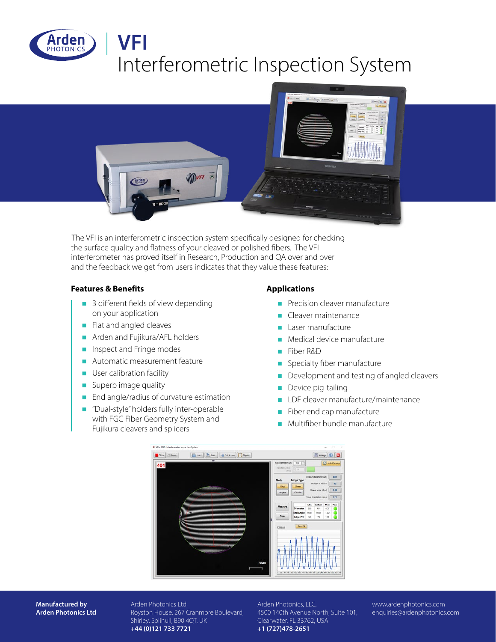



The VFI is an interferometric inspection system specifically designed for checking the surface quality and flatness of your cleaved or polished fibers. The VFI interferometer has proved itself in Research, Production and QA over and over and the feedback we get from users indicates that they value these features:

#### **Features & Benefits Applications**

- $\blacksquare$  3 different fields of view depending on your application
- $\blacksquare$  Flat and angled cleaves
- n Arden and Fujikura/AFL holders
- $\blacksquare$  Inspect and Fringe modes
- $\blacksquare$  Automatic measurement feature
- $\blacksquare$  User calibration facility
- $\blacksquare$  Superb image quality
- $\blacksquare$  End angle/radius of curvature estimation
- "Dual-style" holders fully inter-operable with FGC Fiber Geometry System and Fujikura cleavers and splicers

- Precision cleaver manufacture
- $\blacksquare$  Cleaver maintenance
- $\blacksquare$  Laser manufacture
- $\blacksquare$  Medical device manufacture
- Fiber R&D
- **n** Specialty fiber manufacture
- $\blacksquare$  Development and testing of angled cleavers
- $\blacksquare$  Device pig-tailing
- **DR** LDF cleaver manufacture/maintenance
- $\blacksquare$  Fiber end cap manufacture
- $\blacksquare$  Multifiber bundle manufacture



**Manufactured by Arden Photonics Ltd** Arden Photonics Ltd, Royston House, 267 Cranmore Boulevard, Shirley, Solihull, B90 4QT, UK **+44 (0)121 733 7721**

Arden Photonics, LLC, 4500 140th Avenue North, Suite 101, Clearwater, FL 33762, USA **+1 (727)478-2651**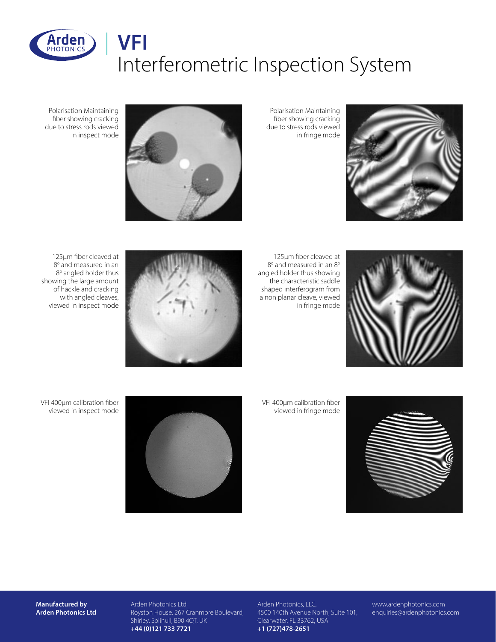



Polarisation Maintaining fiber showing cracking due to stress rods viewed in fringe mode



Polarisation Maintaining fiber showing cracking due to stress rods viewed in inspect mode



125µm fiber cleaved at  $8^{\circ}$  and measured in an  $8^{\circ}$ angled holder thus showing the characteristic saddle shaped interferogram from a non planar cleave, viewed in fringe mode



125µm fiber cleaved at 8° and measured in an 8° angled holder thus showing the large amount of hackle and cracking with angled cleaves, viewed in inspect mode

VFI 400µm calibration fiber viewed in fringe mode





VFI 400µm calibration fiber viewed in inspect mode

**Manufactured by Arden Photonics Ltd** Arden Photonics Ltd, Royston House, 267 Cranmore Boulevard, Shirley, Solihull, B90 4QT, UK **+44 (0)121 733 7721**

Arden Photonics, LLC, 4500 140th Avenue North, Suite 101, Clearwater, FL 33762, USA **+1 (727)478-2651**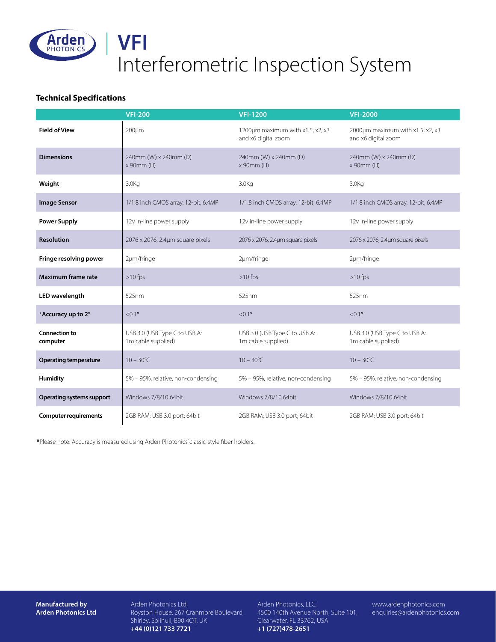

### **Technical Specifications**

|                                  | <b>VFI-200</b>                                      | <b>VFI-1200</b>                                         | <b>VFI-2000</b>                                         |
|----------------------------------|-----------------------------------------------------|---------------------------------------------------------|---------------------------------------------------------|
| <b>Field of View</b>             | $200 \mu m$                                         | 1200um maximum with x1.5, x2, x3<br>and x6 digital zoom | 2000um maximum with x1.5, x2, x3<br>and x6 digital zoom |
| <b>Dimensions</b>                | 240mm (W) x 240mm (D)<br>x 90mm (H)                 | 240mm (W) x 240mm (D)<br>x 90mm (H)                     | 240mm (W) x 240mm (D)<br>x 90mm (H)                     |
| Weight                           | 3.0 <sub>K<sub>G</sub></sub>                        | 3.0 <sub>K<sub>G</sub></sub>                            | 3.0 <sub>Kq</sub>                                       |
| <b>Image Sensor</b>              | 1/1.8 inch CMOS array, 12-bit, 6.4MP                | 1/1.8 inch CMOS array, 12-bit, 6.4MP                    | 1/1.8 inch CMOS array, 12-bit, 6.4MP                    |
| <b>Power Supply</b>              | 12v in-line power supply                            | 12v in-line power supply                                | 12v in-line power supply                                |
| <b>Resolution</b>                | 2076 x 2076, 2.4µm square pixels                    | 2076 x 2076, 2.4um square pixels                        | 2076 x 2076, 2.4µm square pixels                        |
| Fringe resolving power           | 2µm/fringe                                          | 2µm/fringe                                              | 2µm/fringe                                              |
| <b>Maximum frame rate</b>        | $>10$ fps                                           | $>10$ fps                                               | $>10$ fps                                               |
| <b>LED</b> wavelength            | 525nm                                               | 525nm                                                   | 525nm                                                   |
| *Accuracy up to 2°               | $< 0.1$ °                                           | $< 0.1$ °                                               | $< 0.1$ °                                               |
| <b>Connection to</b><br>computer | USB 3.0 (USB Type C to USB A:<br>1m cable supplied) | USB 3.0 (USB Type C to USB A:<br>1m cable supplied)     | USB 3.0 (USB Type C to USB A:<br>1m cable supplied)     |
| <b>Operating temperature</b>     | $10 - 30^{\circ}C$                                  | $10 - 30^{\circ}C$                                      | $10 - 30^{\circ}$ C                                     |
| Humidity                         | 5% - 95%, relative, non-condensing                  | 5% - 95%, relative, non-condensing                      | 5% - 95%, relative, non-condensing                      |
| Operating systems support        | Windows 7/8/10 64bit                                | Windows 7/8/10 64bit                                    | Windows 7/8/10 64bit                                    |
| <b>Computer requirements</b>     | 2GB RAM; USB 3.0 port; 64bit                        | 2GB RAM; USB 3.0 port; 64bit                            | 2GB RAM; USB 3.0 port; 64bit                            |

**\***Please note: Accuracy is measured using Arden Photonics' classic-style fiber holders.

**Manufactured by Arden Photonics Ltd** Arden Photonics Ltd, Royston House, 267 Cranmore Boulevard, Shirley, Solihull, B90 4QT, UK **+44 (0)121 733 7721**

Arden Photonics, LLC, 4500 140th Avenue North, Suite 101, Clearwater, FL 33762, USA **+1 (727)478-2651**